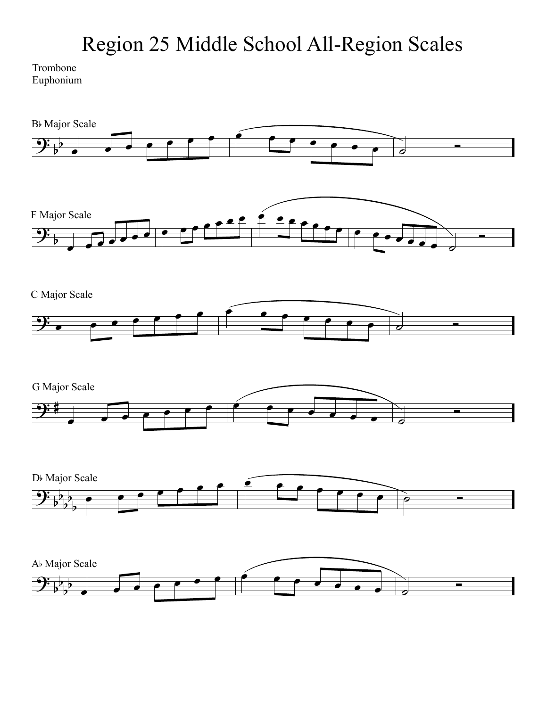## Region 25 Middle School All-Region Scales

## Trombone Euphonium